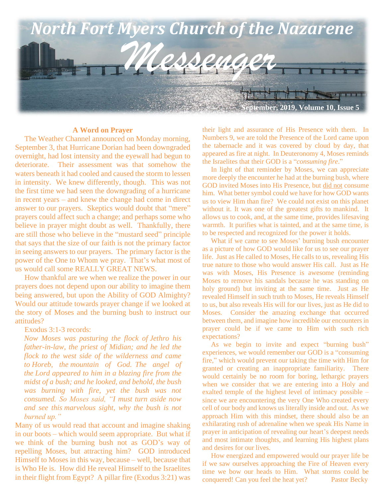

#### **A Word on Prayer**

 The Weather Channel announced on Monday morning, September 3, that Hurricane Dorian had been downgraded overnight, had lost intensity and the eyewall had begun to deteriorate. Their assessment was that somehow the waters beneath it had cooled and caused the storm to lessen in intensity. We knew differently, though. This was not the first time we had seen the downgrading of a hurricane in recent years – and knew the change had come in direct answer to our prayers. Skeptics would doubt that "mere" prayers could affect such a change; and perhaps some who believe in prayer might doubt as well. Thankfully, there are still those who believe in the "mustard seed" principle that says that the size of our faith is not the primary factor in seeing answers to our prayers. The primary factor is the power of the One to Whom we pray. That's what most of us would call some REALLY GREAT NEWS.

 How thankful are we when we realize the power in our prayers does not depend upon our ability to imagine them being answered, but upon the Ability of GOD Almighty? Would our attitude towards prayer change if we looked at the story of Moses and the burning bush to instruct our attitudes?

Exodus 3:1-3 records:

*Now Moses was pasturing the flock of Jethro his father-in-law, the priest of Midian; and he led the flock to the west side of the wilderness and came to Horeb, the mountain of God. The angel of the Lord appeared to him in a blazing fire from the midst of a bush; and he looked, and behold, the bush was burning with fire, yet the bush was not consumed. So Moses said, "I must turn aside now and see this marvelous sight, why the bush is not burned up."*

Many of us would read that account and imagine shaking in our boots – which would seem appropriate. But what if we think of the burning bush not as GOD's way of repelling Moses, but attracting him? GOD introduced Himself to Moses in this way, because – well, because that is Who He is. How did He reveal Himself to the Israelites in their flight from Egypt? A pillar fire (Exodus 3:21) was

their light and assurance of His Presence with them. In Numbers 9, we are told the Presence of the Lord came upon the tabernacle and it was covered by cloud by day, that appeared as fire at night. In Deuteronomy 4, Moses reminds the Israelites that their GOD is a "*consuming fire*."

 In light of that reminder by Moses, we can appreciate more deeply the encounter he had at the burning bush, where GOD invited Moses into His Presence, but did not consume him. What better symbol could we have for how GOD wants us to view Him than fire? We could not exist on this planet without it. It was one of the greatest gifts to mankind. It allows us to cook, and, at the same time, provides lifesaving warmth. It purifies what is tainted, and at the same time, is to be respected and recognized for the power it holds.

 What if we came to see Moses' burning bush encounter as a picture of how GOD would like for us to see our prayer life. Just as He called to Moses, He calls to us, revealing His true nature to those who would answer His call. Just as He was with Moses, His Presence is awesome (reminding Moses to remove his sandals because he was standing on holy ground) but inviting at the same time. Just as He revealed Himself in such truth to Moses, He reveals Himself to us, but also reveals His will for our lives, just as He did to Moses. Consider the amazing exchange that occurred between them, and imagine how incredible our encounters in prayer could be if we came to Him with such rich expectations?

 As we begin to invite and expect "burning bush" experiences, we would remember our GOD is a "consuming fire," which would prevent our taking the time with Him for granted or creating an inappropriate familiarity. There would certainly be no room for boring, lethargic prayers when we consider that we are entering into a Holy and exalted temple of the highest level of intimacy possible – since we are encountering the very One Who created every cell of our body and knows us literally inside and out. As we approach Him with this mindset, there should also be an exhilarating rush of adrenaline when we speak His Name in prayer in anticipation of revealing our heart's deepest needs and most intimate thoughts, and learning His highest plans and desires for our lives.

 How energized and empowered would our prayer life be if we saw ourselves approaching the Fire of Heaven every time we bow our heads to Him. What storms could be conquered! Can you feel the heat yet? Pastor Becky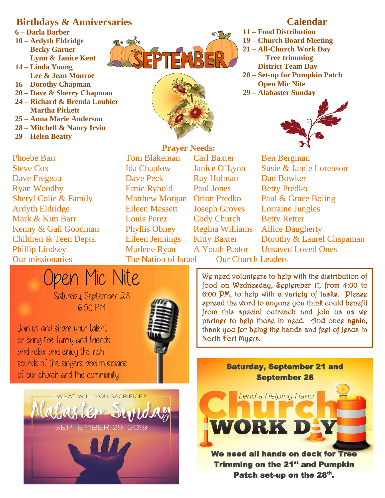## **Birthdays & Anniversaries**

**6 – Darla Barber 10 – Ardyth Eldridge Becky Garner Lynn & Janice Kent 14 – Linda Young Lee & Jean Monroe 16 – Dorothy Chapman 20 – Dave & Sherry Chapman 24 – Richard & Brenda Loubier Martha Pickett 25 – Anna Marie Anderson 28 – Mitchell & Nancy Irvin 29 – Helen Beatty**

**Our missionaries** Steve Cox Ida Chaplow Janice O'Lynn Susie & Jamie Lorenson Dave Fregeau Dave Peck Ray Holman Dan Bowker Ryan Woodby **Ernie Rybold** Paul Jones Betty Predko Sheryl Colie & Family Matthew Morgan Orion Predko Paul & Grace Boling Ardyth Eldridge Eileen Massett Joseph Groves Lorraine Jungles Mark & Kim Barr Louis Perez Cody Church Betty Retter Kenny & Gail Goodman Phyllis Obney Regina Williams Allice Daugherty Phillip Lindsey Marlene Ryan A Youth Pastor Unsaved Loved Ones Open Mic Nite

Join us and share your talent or bring the family and friends and relax and enjoy the rich

sounds of the singers and musicians

of our church and the community.

Phoebe Barr Tom Blakeman Carl Baxter Ben Bergman

The Nation of Israel Our Church Leaders

Children & Teen Depts. Eileen Jennings Kitty Baxter Dorothy & Laurel Chapaman

We need volunteers to help with the distribution of food on Wednesday, September 11, from 4:00 to 6:00 PM, to help with a variety of tasks. Please spread the word to anyone you think could benefit from this special outreach and join us as we partner to help those in need. And once again, thank you for being the hands and feet of Jesus in

> Saturday, September 21 and September 28

> > Lend a Helping Hand

WORK DEY

- **11 – Food Distribution 19 – Church Board Meeting 21 – All-Church Work Day Tree trimming District Team Day 28 – Set-up for Pumpkin Patch Open Mic Nite**
- **29 – Alabaster Sunday**









Saturday, September 28 6:00 P.M.

> We need all hands on deck for **Trimming on the 21<sup>st</sup> and Pumpkin** Patch set-up on the 28<sup>th</sup>.



EPTEMBER

### **Calendar**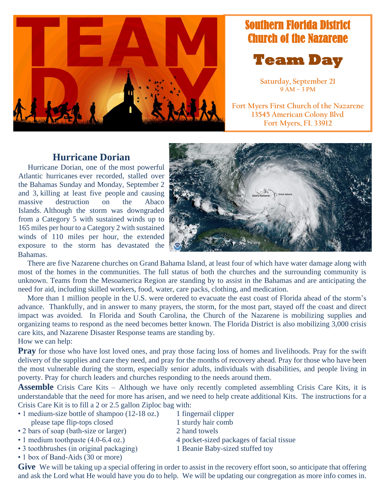

# Southern Florida District Church of the Nazarene



**Saturday, September 21 9 AM – 3 PM**

**Fort Myers First Church of the Nazarene 13545 American Colony Blvd Fort Myers, FL 33912**

## **Hurricane Dorian**

 Hurricane Dorian, one of the [most powerful](https://www.washingtonpost.com/weather/2019/09/01/hurricane-dorian-has-smashed-all-sorts-intensity-records/?noredirect=on)  [Atlantic hurricanes](https://www.washingtonpost.com/weather/2019/09/01/hurricane-dorian-has-smashed-all-sorts-intensity-records/?noredirect=on) ever recorded, stalled over the Bahamas Sunday and Monday, September 2 and 3, [killing at least five people](https://www.reuters.com/article/us-storm-dorian/hurricane-dorian-stalled-over-bahamas-weakens-slightly-but-still-dangerous-idUSKCN1VO0VR) and causing massive destruction on the Abaco Islands. Although the storm was downgraded from a Category 5 with sustained winds up to 165 miles per hour to a Category 2 with sustained winds of 110 miles per hour, the extended exposure to the storm has devastated the Bahamas.



 There are five Nazarene churches on Grand Bahama Island, at least four of which have water damage along with most of the homes in the communities. The full status of both the churches and the surrounding community is unknown. Teams from the Mesoamerica Region are standing by to assist in the Bahamas and are anticipating the need for aid, including skilled workers, food, water, care packs, clothing, and medication.

 More than 1 million people in the U.S. were ordered to evacuate the east coast of Florida ahead of the storm's advance. Thankfully, and in answer to many prayers, the storm, for the most part, stayed off the coast and direct impact was avoided. In Florida and South Carolina, the Church of the Nazarene is mobilizing supplies and organizing teams to respond as the need becomes better known. The Florida District is also mobilizing 3,000 crisis care kits, and Nazarene Disaster Response teams are standing by. How we can help:

**Pray** for those who have lost loved ones, and pray those facing loss of homes and livelihoods. Pray for the swift delivery of the supplies and care they need, and pray for the months of recovery ahead. Pray for those who have been the most vulnerable during the storm, especially senior adults, individuals with disabilities, and people living in poverty. Pray for church leaders and churches responding to the needs around them.

**Assemble** Crisis Care Kits – Although we have only recently completed assembling Crisis Care Kits, it is understandable that the need for more has arisen, and we need to help create additional Kits. The instructions for a Crisis Care Kit is to fill a 2 or 2.5 gallon Ziploc bag with:

- 1 medium-size bottle of shampoo (12-18 oz.) 1 fingernail clipper please tape flip-tops closed 1 sturdy hair comb
- 2 bars of soap (bath-size or larger) 2 hand towels
- 1 medium toothpaste (4.0-6.4 oz.) 4 pocket-sized packages of facial tissue
- 3 toothbrushes (in original packaging) 1 Beanie Baby-sized stuffed toy
- 1 box of Band-Aids (30 or more)

Give We will be taking up a special offering in order to assist in the recovery effort soon, so anticipate that offering and ask the Lord what He would have you do to help. We will be updating our congregation as more info comes in.